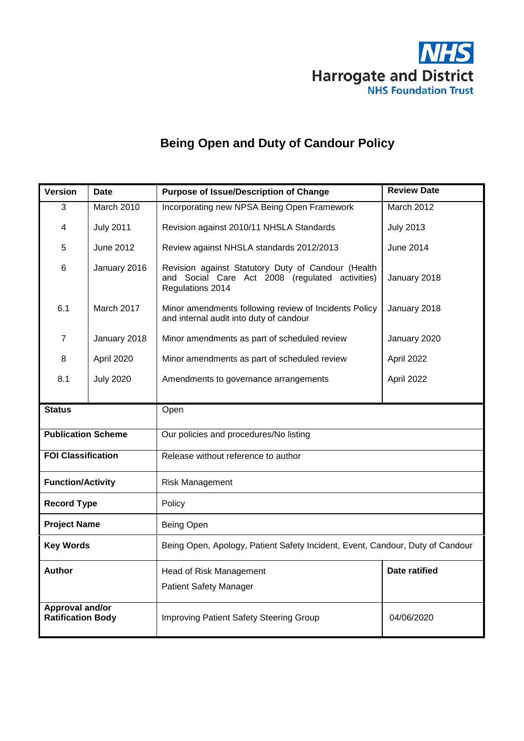

# **Being Open and Duty of Candour Policy**

| <b>Version</b>                                     | <b>Date</b>      | <b>Purpose of Issue/Description of Change</b>                                                                             | <b>Review Date</b>   |  |
|----------------------------------------------------|------------------|---------------------------------------------------------------------------------------------------------------------------|----------------------|--|
| 3                                                  | March 2010       | Incorporating new NPSA Being Open Framework                                                                               | March 2012           |  |
| <b>July 2011</b><br>4                              |                  | Revision against 2010/11 NHSLA Standards                                                                                  | <b>July 2013</b>     |  |
| June 2012<br>5                                     |                  | Review against NHSLA standards 2012/2013                                                                                  | June 2014            |  |
| 6<br>January 2016                                  |                  | Revision against Statutory Duty of Candour (Health<br>and Social Care Act 2008 (regulated activities)<br>Regulations 2014 | January 2018         |  |
| 6.1<br>March 2017                                  |                  | Minor amendments following review of Incidents Policy<br>and internal audit into duty of candour                          | January 2018         |  |
| 7                                                  | January 2018     | Minor amendments as part of scheduled review                                                                              | January 2020         |  |
| 8                                                  | April 2020       | Minor amendments as part of scheduled review                                                                              | April 2022           |  |
| 8.1                                                | <b>July 2020</b> | Amendments to governance arrangements                                                                                     | April 2022           |  |
|                                                    |                  |                                                                                                                           |                      |  |
| <b>Status</b>                                      |                  | Open                                                                                                                      |                      |  |
| <b>Publication Scheme</b>                          |                  | Our policies and procedures/No listing                                                                                    |                      |  |
| <b>FOI Classification</b>                          |                  | Release without reference to author                                                                                       |                      |  |
| <b>Function/Activity</b>                           |                  | <b>Risk Management</b>                                                                                                    |                      |  |
| <b>Record Type</b>                                 |                  | Policy                                                                                                                    |                      |  |
| <b>Project Name</b>                                |                  | Being Open                                                                                                                |                      |  |
| <b>Key Words</b>                                   |                  | Being Open, Apology, Patient Safety Incident, Event, Candour, Duty of Candour                                             |                      |  |
| <b>Author</b>                                      |                  | Head of Risk Management                                                                                                   | <b>Date ratified</b> |  |
|                                                    |                  | <b>Patient Safety Manager</b>                                                                                             |                      |  |
| <b>Approval and/or</b><br><b>Ratification Body</b> |                  | Improving Patient Safety Steering Group                                                                                   | 04/06/2020           |  |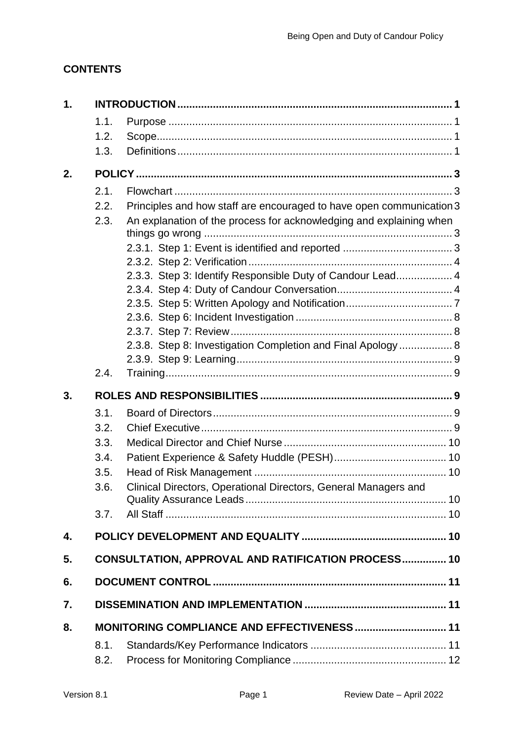## **CONTENTS**

| 1.   |                                                                 |                                                                                                                                                                                                                                                                           |  |
|------|-----------------------------------------------------------------|---------------------------------------------------------------------------------------------------------------------------------------------------------------------------------------------------------------------------------------------------------------------------|--|
| 1.1. |                                                                 |                                                                                                                                                                                                                                                                           |  |
| 1.2. |                                                                 |                                                                                                                                                                                                                                                                           |  |
| 1.3. |                                                                 |                                                                                                                                                                                                                                                                           |  |
|      |                                                                 |                                                                                                                                                                                                                                                                           |  |
| 2.1. |                                                                 |                                                                                                                                                                                                                                                                           |  |
| 2.2. |                                                                 |                                                                                                                                                                                                                                                                           |  |
| 2.3. |                                                                 |                                                                                                                                                                                                                                                                           |  |
|      |                                                                 |                                                                                                                                                                                                                                                                           |  |
|      |                                                                 |                                                                                                                                                                                                                                                                           |  |
|      |                                                                 |                                                                                                                                                                                                                                                                           |  |
|      |                                                                 |                                                                                                                                                                                                                                                                           |  |
|      |                                                                 |                                                                                                                                                                                                                                                                           |  |
|      |                                                                 |                                                                                                                                                                                                                                                                           |  |
|      |                                                                 |                                                                                                                                                                                                                                                                           |  |
|      |                                                                 |                                                                                                                                                                                                                                                                           |  |
|      |                                                                 |                                                                                                                                                                                                                                                                           |  |
|      |                                                                 |                                                                                                                                                                                                                                                                           |  |
|      |                                                                 |                                                                                                                                                                                                                                                                           |  |
|      |                                                                 |                                                                                                                                                                                                                                                                           |  |
| 3.1. |                                                                 |                                                                                                                                                                                                                                                                           |  |
| 3.2. |                                                                 |                                                                                                                                                                                                                                                                           |  |
| 3.3. |                                                                 |                                                                                                                                                                                                                                                                           |  |
| 3.4. |                                                                 |                                                                                                                                                                                                                                                                           |  |
| 3.5. |                                                                 |                                                                                                                                                                                                                                                                           |  |
| 3.6. | Clinical Directors, Operational Directors, General Managers and |                                                                                                                                                                                                                                                                           |  |
|      |                                                                 |                                                                                                                                                                                                                                                                           |  |
| 3.7. |                                                                 |                                                                                                                                                                                                                                                                           |  |
|      |                                                                 |                                                                                                                                                                                                                                                                           |  |
|      | CONSULTATION, APPROVAL AND RATIFICATION PROCESS 10              |                                                                                                                                                                                                                                                                           |  |
|      |                                                                 |                                                                                                                                                                                                                                                                           |  |
|      |                                                                 |                                                                                                                                                                                                                                                                           |  |
|      | MONITORING COMPLIANCE AND EFFECTIVENESS  11                     |                                                                                                                                                                                                                                                                           |  |
| 8.1. |                                                                 |                                                                                                                                                                                                                                                                           |  |
|      | 2.4.                                                            | Principles and how staff are encouraged to have open communication 3<br>An explanation of the process for acknowledging and explaining when<br>2.3.3. Step 3: Identify Responsible Duty of Candour Lead 4<br>2.3.8. Step 8: Investigation Completion and Final Apology  8 |  |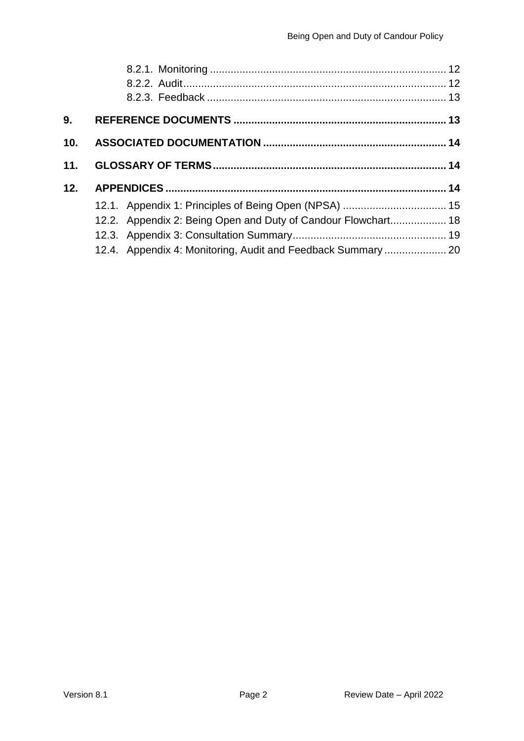| 9.              |                                                               |  |
|-----------------|---------------------------------------------------------------|--|
| 10 <sub>1</sub> |                                                               |  |
| 11.             |                                                               |  |
| 12.             |                                                               |  |
|                 | 12.1. Appendix 1: Principles of Being Open (NPSA)  15         |  |
|                 | 12.2. Appendix 2: Being Open and Duty of Candour Flowchart 18 |  |
|                 |                                                               |  |
|                 | 12.4. Appendix 4: Monitoring, Audit and Feedback Summary  20  |  |
|                 |                                                               |  |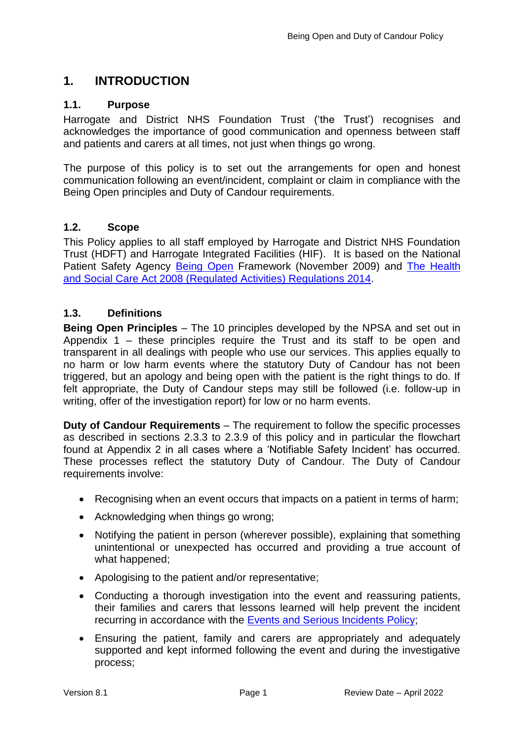## <span id="page-3-0"></span>**1. INTRODUCTION**

### <span id="page-3-1"></span>**1.1. Purpose**

Harrogate and District NHS Foundation Trust ('the Trust') recognises and acknowledges the importance of good communication and openness between staff and patients and carers at all times, not just when things go wrong.

The purpose of this policy is to set out the arrangements for open and honest communication following an event/incident, complaint or claim in compliance with the Being Open principles and Duty of Candour requirements.

### <span id="page-3-2"></span>**1.2. Scope**

This Policy applies to all staff employed by Harrogate and District NHS Foundation Trust (HDFT) and Harrogate Integrated Facilities (HIF). It is based on the National Patient Safety Agency [Being Open](http://www.nrls.npsa.nhs.uk/resources/?entryid45=65077) Framework (November 2009) and [The Health](http://www.cqc.org.uk/sites/default/files/20150327_duty_of_candour_guidance_final.pdf)  [and Social Care Act 2008 \(Regulated Activities\) Regulations 2014.](http://www.cqc.org.uk/sites/default/files/20150327_duty_of_candour_guidance_final.pdf)

### <span id="page-3-3"></span>**1.3. Definitions**

**Being Open Principles** – The 10 principles developed by the NPSA and set out in Appendix 1 – these principles require the Trust and its staff to be open and transparent in all dealings with people who use our services. This applies equally to no harm or low harm events where the statutory Duty of Candour has not been triggered, but an apology and being open with the patient is the right things to do. If felt appropriate, the Duty of Candour steps may still be followed (i.e. follow-up in writing, offer of the investigation report) for low or no harm events.

**Duty of Candour Requirements** – The requirement to follow the specific processes as described in sections 2.3.3 to 2.3.9 of this policy and in particular the flowchart found at Appendix 2 in all cases where a 'Notifiable Safety Incident' has occurred. These processes reflect the statutory Duty of Candour. The Duty of Candour requirements involve:

- Recognising when an event occurs that impacts on a patient in terms of harm;
- Acknowledging when things go wrong;
- Notifying the patient in person (wherever possible), explaining that something unintentional or unexpected has occurred and providing a true account of what happened;
- Apologising to the patient and/or representative;
- Conducting a thorough investigation into the event and reassuring patients, their families and carers that lessons learned will help prevent the incident recurring in accordance with the **Events and Serious Incidents Policy:**
- Ensuring the patient, family and carers are appropriately and adequately supported and kept informed following the event and during the investigative process;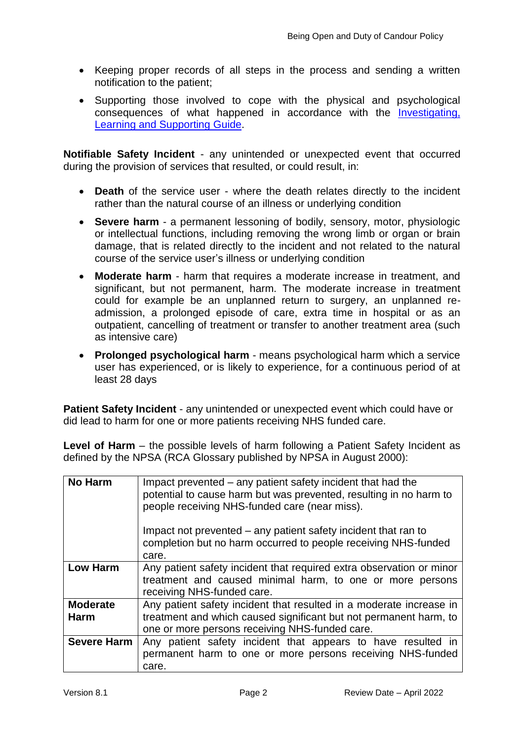- Keeping proper records of all steps in the process and sending a written notification to the patient;
- Supporting those involved to cope with the physical and psychological consequences of what happened in accordance with the [Investigating,](http://nww.hdft.nhs.uk/EasysiteWeb/getresource.axd?AssetID=5099&type=full&servicetype=Attachment)  [Learning and Supporting Guide.](http://nww.hdft.nhs.uk/EasysiteWeb/getresource.axd?AssetID=5099&type=full&servicetype=Attachment)

**Notifiable Safety Incident** - any unintended or unexpected event that occurred during the provision of services that resulted, or could result, in:

- **Death** of the service user where the death relates directly to the incident rather than the natural course of an illness or underlying condition
- **Severe harm** a permanent lessoning of bodily, sensory, motor, physiologic or intellectual functions, including removing the wrong limb or organ or brain damage, that is related directly to the incident and not related to the natural course of the service user's illness or underlying condition
- **Moderate harm**  harm that requires a moderate increase in treatment, and significant, but not permanent, harm. The moderate increase in treatment could for example be an unplanned return to surgery, an unplanned readmission, a prolonged episode of care, extra time in hospital or as an outpatient, cancelling of treatment or transfer to another treatment area (such as intensive care)
- **Prolonged psychological harm**  means psychological harm which a service user has experienced, or is likely to experience, for a continuous period of at least 28 days

**Patient Safety Incident** - any unintended or unexpected event which could have or did lead to harm for one or more patients receiving NHS funded care.

**Level of Harm** – the possible levels of harm following a Patient Safety Incident as defined by the NPSA (RCA Glossary published by NPSA in August 2000):

| <b>No Harm</b>     | Impact prevented – any patient safety incident that had the<br>potential to cause harm but was prevented, resulting in no harm to<br>people receiving NHS-funded care (near miss).<br>Impact not prevented – any patient safety incident that ran to<br>completion but no harm occurred to people receiving NHS-funded<br>care. |  |  |
|--------------------|---------------------------------------------------------------------------------------------------------------------------------------------------------------------------------------------------------------------------------------------------------------------------------------------------------------------------------|--|--|
| <b>Low Harm</b>    | Any patient safety incident that required extra observation or minor                                                                                                                                                                                                                                                            |  |  |
|                    | treatment and caused minimal harm, to one or more persons                                                                                                                                                                                                                                                                       |  |  |
|                    | receiving NHS-funded care.                                                                                                                                                                                                                                                                                                      |  |  |
| <b>Moderate</b>    | Any patient safety incident that resulted in a moderate increase in                                                                                                                                                                                                                                                             |  |  |
| <b>Harm</b>        | treatment and which caused significant but not permanent harm, to                                                                                                                                                                                                                                                               |  |  |
|                    | one or more persons receiving NHS-funded care.                                                                                                                                                                                                                                                                                  |  |  |
| <b>Severe Harm</b> | Any patient safety incident that appears to have resulted in                                                                                                                                                                                                                                                                    |  |  |
|                    | permanent harm to one or more persons receiving NHS-funded                                                                                                                                                                                                                                                                      |  |  |
|                    | care.                                                                                                                                                                                                                                                                                                                           |  |  |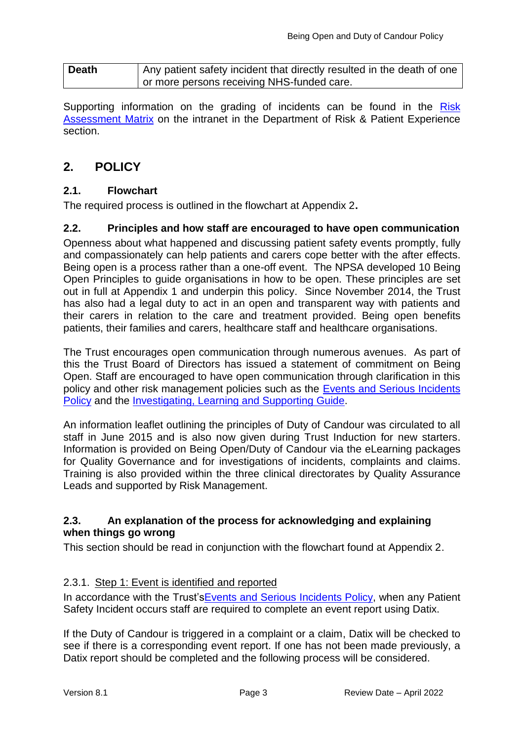| <b>Death</b> | Any patient safety incident that directly resulted in the death of one |
|--------------|------------------------------------------------------------------------|
|              | I or more persons receiving NHS-funded care.                           |

Supporting information on the grading of incidents can be found in the Risk [Assessment](http://nww.hdft.nhs.uk/EasysiteWeb/getresource.axd?AssetID=2710&type=full&servicetype=Attachment) Matrix on the intranet in the Department of Risk & Patient Experience section.

## <span id="page-5-0"></span>**2. POLICY**

### <span id="page-5-1"></span>**2.1. Flowchart**

The required process is outlined in the flowchart at Appendix 2**.**

### <span id="page-5-2"></span>**2.2. Principles and how staff are encouraged to have open communication**

Openness about what happened and discussing patient safety events promptly, fully and compassionately can help patients and carers cope better with the after effects. Being open is a process rather than a one-off event. The NPSA developed 10 Being Open Principles to guide organisations in how to be open. These principles are set out in full at Appendix 1 and underpin this policy. Since November 2014, the Trust has also had a legal duty to act in an open and transparent way with patients and their carers in relation to the care and treatment provided. Being open benefits patients, their families and carers, healthcare staff and healthcare organisations.

The Trust encourages open communication through numerous avenues. As part of this the Trust Board of Directors has issued a statement of commitment on Being Open. Staff are encouraged to have open communication through clarification in this policy and other risk management policies such as the [Events and Serious Incidents](http://nww.hdft.nhs.uk/EasysiteWeb/getresource.axd?AssetID=66523&type=full&servicetype=Attachment)  [Policy](http://nww.hdft.nhs.uk/EasysiteWeb/getresource.axd?AssetID=66523&type=full&servicetype=Attachment) and the [Investigating, Learning and Supporting Guide.](http://nww.hdft.nhs.uk/EasysiteWeb/getresource.axd?AssetID=5099&type=full&servicetype=Attachment)

An information leaflet outlining the principles of Duty of Candour was circulated to all staff in June 2015 and is also now given during Trust Induction for new starters. Information is provided on Being Open/Duty of Candour via the eLearning packages for Quality Governance and for investigations of incidents, complaints and claims. Training is also provided within the three clinical directorates by Quality Assurance Leads and supported by Risk Management.

### <span id="page-5-3"></span>**2.3. An explanation of the process for acknowledging and explaining when things go wrong**

This section should be read in conjunction with the flowchart found at Appendix 2.

### <span id="page-5-4"></span>2.3.1. Step 1: Event is identified and reported

In accordance with the Trust's Events and Serious Incidents Policy, when any Patient Safety Incident occurs staff are required to complete an event report using Datix.

If the Duty of Candour is triggered in a complaint or a claim, Datix will be checked to see if there is a corresponding event report. If one has not been made previously, a Datix report should be completed and the following process will be considered.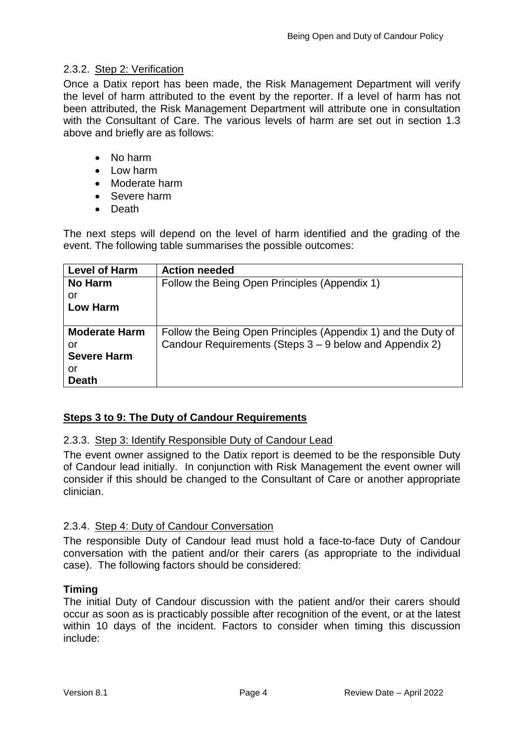### <span id="page-6-0"></span>2.3.2. Step 2: Verification

Once a Datix report has been made, the Risk Management Department will verify the level of harm attributed to the event by the reporter. If a level of harm has not been attributed, the Risk Management Department will attribute one in consultation with the Consultant of Care. The various levels of harm are set out in section 1.3 above and briefly are as follows:

- No harm
- $\bullet$  Low harm
- Moderate harm
- Severe harm
- Death

The next steps will depend on the level of harm identified and the grading of the event. The following table summarises the possible outcomes:

| <b>Level of Harm</b> | <b>Action needed</b>                                          |  |  |  |
|----------------------|---------------------------------------------------------------|--|--|--|
| <b>No Harm</b>       | Follow the Being Open Principles (Appendix 1)                 |  |  |  |
| or                   |                                                               |  |  |  |
| <b>Low Harm</b>      |                                                               |  |  |  |
|                      |                                                               |  |  |  |
| <b>Moderate Harm</b> | Follow the Being Open Principles (Appendix 1) and the Duty of |  |  |  |
| or                   | Candour Requirements (Steps 3 – 9 below and Appendix 2)       |  |  |  |
| <b>Severe Harm</b>   |                                                               |  |  |  |
| or                   |                                                               |  |  |  |
| <b>Death</b>         |                                                               |  |  |  |

### **Steps 3 to 9: The Duty of Candour Requirements**

### <span id="page-6-1"></span>2.3.3. Step 3: Identify Responsible Duty of Candour Lead

The event owner assigned to the Datix report is deemed to be the responsible Duty of Candour lead initially. In conjunction with Risk Management the event owner will consider if this should be changed to the Consultant of Care or another appropriate clinician.

### <span id="page-6-2"></span>2.3.4. Step 4: Duty of Candour Conversation

The responsible Duty of Candour lead must hold a face-to-face Duty of Candour conversation with the patient and/or their carers (as appropriate to the individual case). The following factors should be considered:

### **Timing**

The initial Duty of Candour discussion with the patient and/or their carers should occur as soon as is practicably possible after recognition of the event, or at the latest within 10 days of the incident. Factors to consider when timing this discussion include: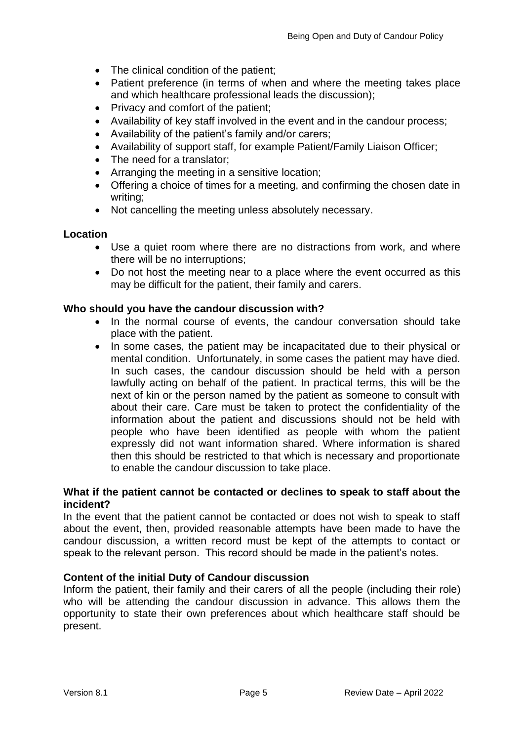- The clinical condition of the patient;
- Patient preference (in terms of when and where the meeting takes place and which healthcare professional leads the discussion);
- Privacy and comfort of the patient;
- Availability of key staff involved in the event and in the candour process;
- Availability of the patient's family and/or carers;
- Availability of support staff, for example Patient/Family Liaison Officer;
- The need for a translator:
- Arranging the meeting in a sensitive location;
- Offering a choice of times for a meeting, and confirming the chosen date in writing;
- Not cancelling the meeting unless absolutely necessary.

#### **Location**

- Use a quiet room where there are no distractions from work, and where there will be no interruptions;
- Do not host the meeting near to a place where the event occurred as this may be difficult for the patient, their family and carers.

#### **Who should you have the candour discussion with?**

- In the normal course of events, the candour conversation should take place with the patient.
- In some cases, the patient may be incapacitated due to their physical or mental condition. Unfortunately, in some cases the patient may have died. In such cases, the candour discussion should be held with a person lawfully acting on behalf of the patient. In practical terms, this will be the next of kin or the person named by the patient as someone to consult with about their care. Care must be taken to protect the confidentiality of the information about the patient and discussions should not be held with people who have been identified as people with whom the patient expressly did not want information shared. Where information is shared then this should be restricted to that which is necessary and proportionate to enable the candour discussion to take place.

#### **What if the patient cannot be contacted or declines to speak to staff about the incident?**

In the event that the patient cannot be contacted or does not wish to speak to staff about the event, then, provided reasonable attempts have been made to have the candour discussion, a written record must be kept of the attempts to contact or speak to the relevant person. This record should be made in the patient's notes.

### **Content of the initial Duty of Candour discussion**

Inform the patient, their family and their carers of all the people (including their role) who will be attending the candour discussion in advance. This allows them the opportunity to state their own preferences about which healthcare staff should be present.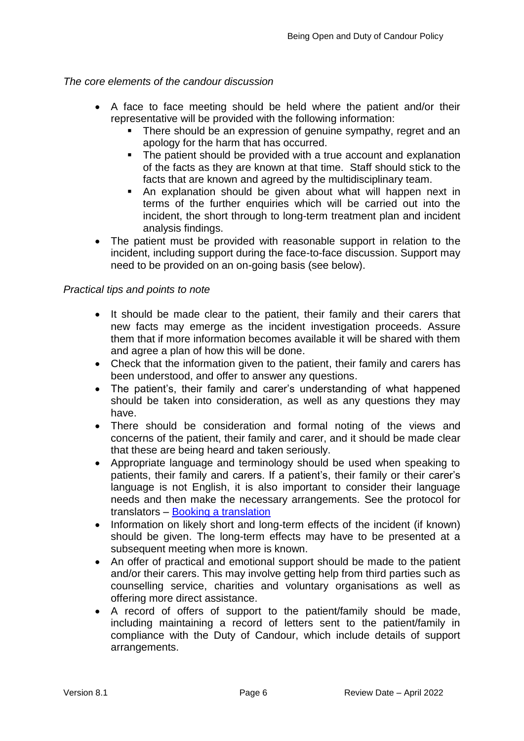### *The core elements of the candour discussion*

- A face to face meeting should be held where the patient and/or their representative will be provided with the following information:
	- There should be an expression of genuine sympathy, regret and an apology for the harm that has occurred.
	- The patient should be provided with a true account and explanation of the facts as they are known at that time. Staff should stick to the facts that are known and agreed by the multidisciplinary team.
	- An explanation should be given about what will happen next in terms of the further enquiries which will be carried out into the incident, the short through to long-term treatment plan and incident analysis findings.
- The patient must be provided with reasonable support in relation to the incident, including support during the face-to-face discussion. Support may need to be provided on an on-going basis (see below).

### *Practical tips and points to note*

- It should be made clear to the patient, their family and their carers that new facts may emerge as the incident investigation proceeds. Assure them that if more information becomes available it will be shared with them and agree a plan of how this will be done.
- Check that the information given to the patient, their family and carers has been understood, and offer to answer any questions.
- The patient's, their family and carer's understanding of what happened should be taken into consideration, as well as any questions they may have.
- There should be consideration and formal noting of the views and concerns of the patient, their family and carer, and it should be made clear that these are being heard and taken seriously.
- Appropriate language and terminology should be used when speaking to patients, their family and carers. If a patient's, their family or their carer's language is not English, it is also important to consider their language needs and then make the necessary arrangements. See the protocol for translators – [Booking a translation](http://iokodetect2004/C16/Procedures/default.aspx)
- Information on likely short and long-term effects of the incident (if known) should be given. The long-term effects may have to be presented at a subsequent meeting when more is known.
- An offer of practical and emotional support should be made to the patient and/or their carers. This may involve getting help from third parties such as counselling service, charities and voluntary organisations as well as offering more direct assistance.
- A record of offers of support to the patient/family should be made, including maintaining a record of letters sent to the patient/family in compliance with the Duty of Candour, which include details of support arrangements.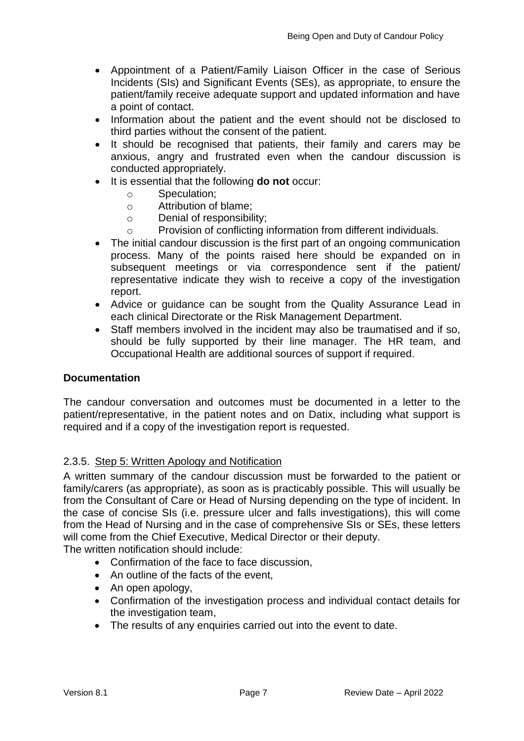- Appointment of a Patient/Family Liaison Officer in the case of Serious Incidents (SIs) and Significant Events (SEs), as appropriate, to ensure the patient/family receive adequate support and updated information and have a point of contact.
- Information about the patient and the event should not be disclosed to third parties without the consent of the patient.
- It should be recognised that patients, their family and carers may be anxious, angry and frustrated even when the candour discussion is conducted appropriately.
- It is essential that the following **do not** occur:
	- o Speculation;
	- o Attribution of blame;
	- o Denial of responsibility;
	- o Provision of conflicting information from different individuals.
- The initial candour discussion is the first part of an ongoing communication process. Many of the points raised here should be expanded on in subsequent meetings or via correspondence sent if the patient/ representative indicate they wish to receive a copy of the investigation report.
- Advice or guidance can be sought from the Quality Assurance Lead in each clinical Directorate or the Risk Management Department.
- Staff members involved in the incident may also be traumatised and if so, should be fully supported by their line manager. The HR team, and Occupational Health are additional sources of support if required.

### **Documentation**

The candour conversation and outcomes must be documented in a letter to the patient/representative, in the patient notes and on Datix, including what support is required and if a copy of the investigation report is requested.

### <span id="page-9-0"></span>2.3.5. Step 5: Written Apology and Notification

A written summary of the candour discussion must be forwarded to the patient or family/carers (as appropriate), as soon as is practicably possible. This will usually be from the Consultant of Care or Head of Nursing depending on the type of incident. In the case of concise SIs (i.e. pressure ulcer and falls investigations), this will come from the Head of Nursing and in the case of comprehensive SIs or SEs, these letters will come from the Chief Executive, Medical Director or their deputy.

The written notification should include:

- Confirmation of the face to face discussion,
- An outline of the facts of the event,
- An open apology,
- Confirmation of the investigation process and individual contact details for the investigation team,
- The results of any enquiries carried out into the event to date.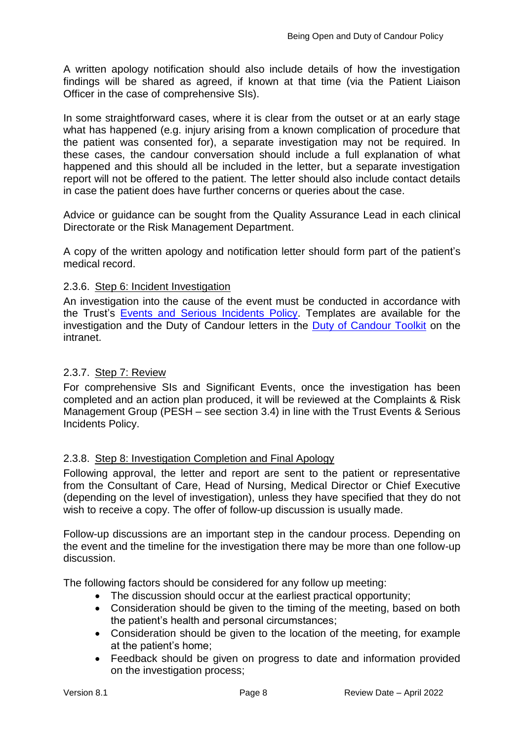A written apology notification should also include details of how the investigation findings will be shared as agreed, if known at that time (via the Patient Liaison Officer in the case of comprehensive SIs).

In some straightforward cases, where it is clear from the outset or at an early stage what has happened (e.g. injury arising from a known complication of procedure that the patient was consented for), a separate investigation may not be required. In these cases, the candour conversation should include a full explanation of what happened and this should all be included in the letter, but a separate investigation report will not be offered to the patient. The letter should also include contact details in case the patient does have further concerns or queries about the case.

Advice or guidance can be sought from the Quality Assurance Lead in each clinical Directorate or the Risk Management Department.

A copy of the written apology and notification letter should form part of the patient's medical record.

### <span id="page-10-0"></span>2.3.6. Step 6: Incident Investigation

An investigation into the cause of the event must be conducted in accordance with the Trust's [Events and Serious Incidents Policy.](http://nww.hdft.nhs.uk/EasysiteWeb/getresource.axd?AssetID=66523&type=full&servicetype=Attachment) Templates are available for the investigation and the Duty of Candour letters in the [Duty of Candour Toolkit](http://nww.hdft.nhs.uk/corporate/department-of-risk-patient-experience/duty-of-candour-toolkit/) on the intranet.

### <span id="page-10-1"></span>2.3.7. Step 7: Review

For comprehensive SIs and Significant Events, once the investigation has been completed and an action plan produced, it will be reviewed at the Complaints & Risk Management Group (PESH – see section 3.4) in line with the Trust Events & Serious Incidents Policy.

### <span id="page-10-2"></span>2.3.8. Step 8: Investigation Completion and Final Apology

Following approval, the letter and report are sent to the patient or representative from the Consultant of Care, Head of Nursing, Medical Director or Chief Executive (depending on the level of investigation), unless they have specified that they do not wish to receive a copy. The offer of follow-up discussion is usually made.

Follow-up discussions are an important step in the candour process. Depending on the event and the timeline for the investigation there may be more than one follow-up discussion.

The following factors should be considered for any follow up meeting:

- The discussion should occur at the earliest practical opportunity;
- Consideration should be given to the timing of the meeting, based on both the patient's health and personal circumstances;
- Consideration should be given to the location of the meeting, for example at the patient's home;
- Feedback should be given on progress to date and information provided on the investigation process;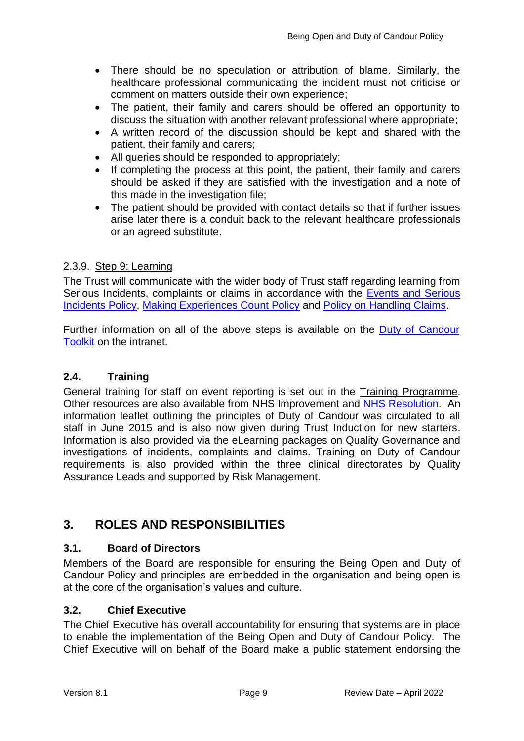- There should be no speculation or attribution of blame. Similarly, the healthcare professional communicating the incident must not criticise or comment on matters outside their own experience;
- The patient, their family and carers should be offered an opportunity to discuss the situation with another relevant professional where appropriate;
- A written record of the discussion should be kept and shared with the patient, their family and carers;
- All queries should be responded to appropriately;
- If completing the process at this point, the patient, their family and carers should be asked if they are satisfied with the investigation and a note of this made in the investigation file;
- The patient should be provided with contact details so that if further issues arise later there is a conduit back to the relevant healthcare professionals or an agreed substitute.

### <span id="page-11-0"></span>2.3.9. Step 9: Learning

The Trust will communicate with the wider body of Trust staff regarding learning from Serious Incidents, complaints or claims in accordance with the **Events and Serious** [Incidents Policy,](http://nww.hdft.nhs.uk/EasysiteWeb/getresource.axd?AssetID=66523&type=full&servicetype=Attachment) [Making Experiences Count Policy](http://nww.hdft.nhs.uk/EasySiteWeb/GatewayLink.aspx?alId=30473) and [Policy on Handling Claims.](http://nww.hdft.nhs.uk/EasysiteWeb/getresource.axd?AssetID=2669&type=full&servicetype=Attachment)

Further information on all of the above steps is available on the [Duty of Candour](http://nww.hdft.nhs.uk/corporate/department-of-risk-patient-experience/duty-of-candour-toolkit/)  [Toolkit](http://nww.hdft.nhs.uk/corporate/department-of-risk-patient-experience/duty-of-candour-toolkit/) on the intranet.

### <span id="page-11-1"></span>**2.4. Training**

General training for staff on event reporting is set out in the [Training Programme.](http://nww.hdft.nhs.uk/corporate/workforce-development/) Other resources are also available from [NHS Improvement](https://improvement.nhs.uk/resources/learning-from-patient-safety-incidents/) and [NHS Resolution.](https://resolution.nhs.uk/resources/?fwp_resources_themes=duty-of-candour) An information leaflet outlining the principles of Duty of Candour was circulated to all staff in June 2015 and is also now given during Trust Induction for new starters. Information is also provided via the eLearning packages on Quality Governance and investigations of incidents, complaints and claims. Training on Duty of Candour requirements is also provided within the three clinical directorates by Quality Assurance Leads and supported by Risk Management.

### <span id="page-11-2"></span>**3. ROLES AND RESPONSIBILITIES**

### <span id="page-11-3"></span>**3.1. Board of Directors**

Members of the Board are responsible for ensuring the Being Open and Duty of Candour Policy and principles are embedded in the organisation and being open is at the core of the organisation's values and culture.

### <span id="page-11-4"></span>**3.2. Chief Executive**

The Chief Executive has overall accountability for ensuring that systems are in place to enable the implementation of the Being Open and Duty of Candour Policy. The Chief Executive will on behalf of the Board make a public statement endorsing the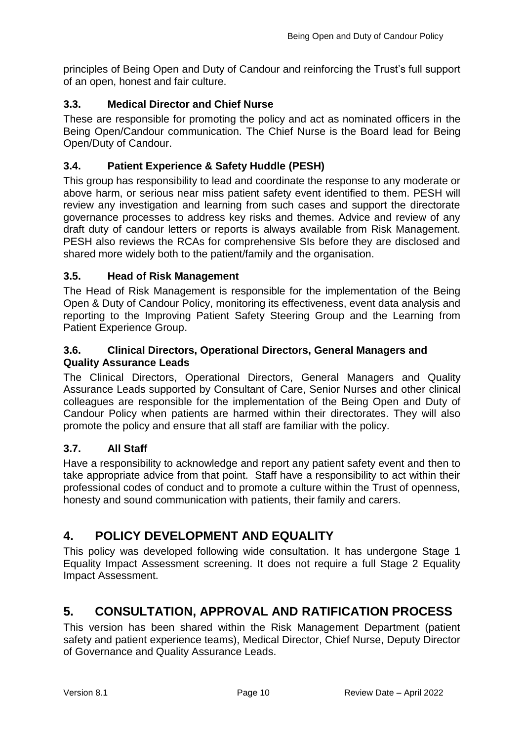principles of Being Open and Duty of Candour and reinforcing the Trust's full support of an open, honest and fair culture.

### <span id="page-12-0"></span>**3.3. Medical Director and Chief Nurse**

These are responsible for promoting the policy and act as nominated officers in the Being Open/Candour communication. The Chief Nurse is the Board lead for Being Open/Duty of Candour.

### <span id="page-12-1"></span>**3.4. Patient Experience & Safety Huddle (PESH)**

This group has responsibility to lead and coordinate the response to any moderate or above harm, or serious near miss patient safety event identified to them. PESH will review any investigation and learning from such cases and support the directorate governance processes to address key risks and themes. Advice and review of any draft duty of candour letters or reports is always available from Risk Management. PESH also reviews the RCAs for comprehensive SIs before they are disclosed and shared more widely both to the patient/family and the organisation.

### <span id="page-12-2"></span>**3.5. Head of Risk Management**

The Head of Risk Management is responsible for the implementation of the Being Open & Duty of Candour Policy, monitoring its effectiveness, event data analysis and reporting to the Improving Patient Safety Steering Group and the Learning from Patient Experience Group.

### <span id="page-12-3"></span>**3.6. Clinical Directors, Operational Directors, General Managers and Quality Assurance Leads**

The Clinical Directors, Operational Directors, General Managers and Quality Assurance Leads supported by Consultant of Care, Senior Nurses and other clinical colleagues are responsible for the implementation of the Being Open and Duty of Candour Policy when patients are harmed within their directorates. They will also promote the policy and ensure that all staff are familiar with the policy.

### <span id="page-12-4"></span>**3.7. All Staff**

Have a responsibility to acknowledge and report any patient safety event and then to take appropriate advice from that point. Staff have a responsibility to act within their professional codes of conduct and to promote a culture within the Trust of openness, honesty and sound communication with patients, their family and carers.

## <span id="page-12-5"></span>**4. POLICY DEVELOPMENT AND EQUALITY**

This policy was developed following wide consultation. It has undergone Stage 1 Equality Impact Assessment screening. It does not require a full Stage 2 Equality Impact Assessment.

## <span id="page-12-6"></span>**5. CONSULTATION, APPROVAL AND RATIFICATION PROCESS**

This version has been shared within the Risk Management Department (patient safety and patient experience teams), Medical Director, Chief Nurse, Deputy Director of Governance and Quality Assurance Leads.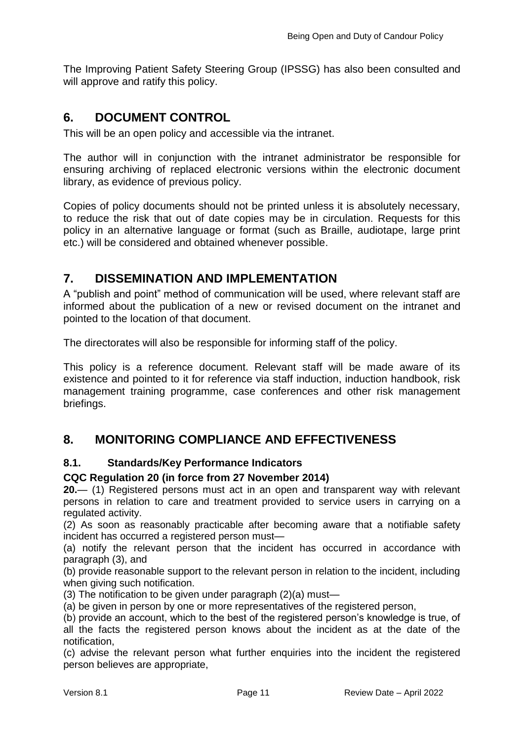The Improving Patient Safety Steering Group (IPSSG) has also been consulted and will approve and ratify this policy.

## <span id="page-13-0"></span>**6. DOCUMENT CONTROL**

This will be an open policy and accessible via the intranet.

The author will in conjunction with the intranet administrator be responsible for ensuring archiving of replaced electronic versions within the electronic document library, as evidence of previous policy.

Copies of policy documents should not be printed unless it is absolutely necessary, to reduce the risk that out of date copies may be in circulation. Requests for this policy in an alternative language or format (such as Braille, audiotape, large print etc.) will be considered and obtained whenever possible.

## <span id="page-13-1"></span>**7. DISSEMINATION AND IMPLEMENTATION**

A "publish and point" method of communication will be used, where relevant staff are informed about the publication of a new or revised document on the intranet and pointed to the location of that document.

The directorates will also be responsible for informing staff of the policy.

This policy is a reference document. Relevant staff will be made aware of its existence and pointed to it for reference via staff induction, induction handbook, risk management training programme, case conferences and other risk management briefings.

## <span id="page-13-2"></span>**8. MONITORING COMPLIANCE AND EFFECTIVENESS**

### <span id="page-13-3"></span>**8.1. Standards/Key Performance Indicators**

### **CQC Regulation 20 (in force from 27 November 2014)**

**20.**— (1) Registered persons must act in an open and transparent way with relevant persons in relation to care and treatment provided to service users in carrying on a regulated activity.

(2) As soon as reasonably practicable after becoming aware that a notifiable safety incident has occurred a registered person must—

(a) notify the relevant person that the incident has occurred in accordance with paragraph (3), and

(b) provide reasonable support to the relevant person in relation to the incident, including when giving such notification.

(3) The notification to be given under paragraph (2)(a) must—

(a) be given in person by one or more representatives of the registered person,

(b) provide an account, which to the best of the registered person's knowledge is true, of all the facts the registered person knows about the incident as at the date of the notification,

(c) advise the relevant person what further enquiries into the incident the registered person believes are appropriate,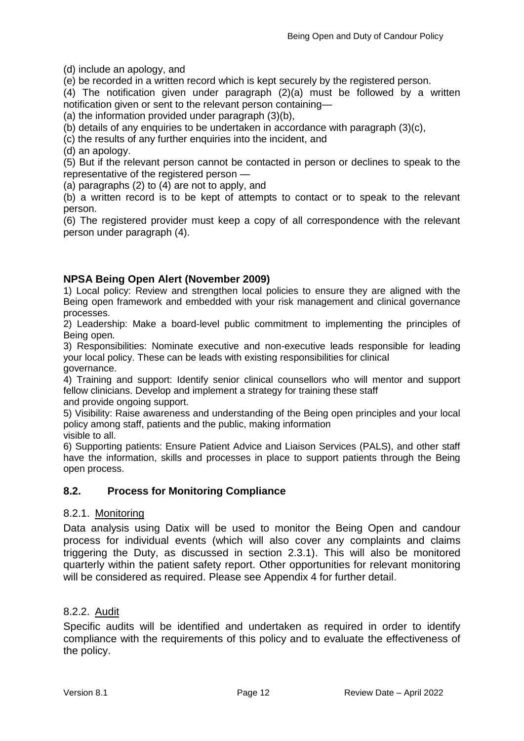(d) include an apology, and

(e) be recorded in a written record which is kept securely by the registered person.

(4) The notification given under paragraph (2)(a) must be followed by a written notification given or sent to the relevant person containing—

(a) the information provided under paragraph (3)(b),

(b) details of any enquiries to be undertaken in accordance with paragraph (3)(c),

(c) the results of any further enquiries into the incident, and

(d) an apology.

(5) But if the relevant person cannot be contacted in person or declines to speak to the representative of the registered person —

(a) paragraphs (2) to (4) are not to apply, and

(b) a written record is to be kept of attempts to contact or to speak to the relevant person.

(6) The registered provider must keep a copy of all correspondence with the relevant person under paragraph (4).

### **NPSA Being Open Alert (November 2009)**

1) Local policy: Review and strengthen local policies to ensure they are aligned with the Being open framework and embedded with your risk management and clinical governance processes.

2) Leadership: Make a board-level public commitment to implementing the principles of Being open.

3) Responsibilities: Nominate executive and non-executive leads responsible for leading your local policy. These can be leads with existing responsibilities for clinical governance.

4) Training and support: Identify senior clinical counsellors who will mentor and support fellow clinicians. Develop and implement a strategy for training these staff and provide ongoing support.

5) Visibility: Raise awareness and understanding of the Being open principles and your local policy among staff, patients and the public, making information

visible to all.

6) Supporting patients: Ensure Patient Advice and Liaison Services (PALS), and other staff have the information, skills and processes in place to support patients through the Being open process.

### <span id="page-14-0"></span>**8.2. Process for Monitoring Compliance**

### <span id="page-14-1"></span>8.2.1. Monitoring

Data analysis using Datix will be used to monitor the Being Open and candour process for individual events (which will also cover any complaints and claims triggering the Duty, as discussed in section 2.3.1). This will also be monitored quarterly within the patient safety report. Other opportunities for relevant monitoring will be considered as required. Please see Appendix 4 for further detail.

### <span id="page-14-2"></span>8.2.2. Audit

Specific audits will be identified and undertaken as required in order to identify compliance with the requirements of this policy and to evaluate the effectiveness of the policy.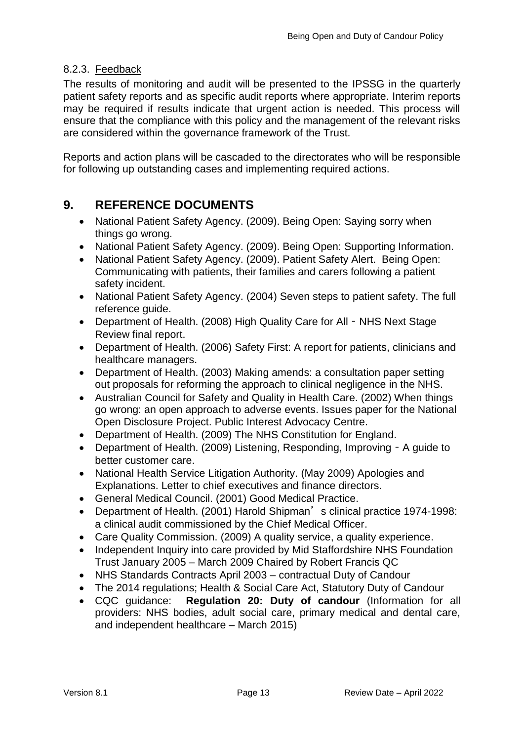### <span id="page-15-0"></span>8.2.3. Feedback

The results of monitoring and audit will be presented to the IPSSG in the quarterly patient safety reports and as specific audit reports where appropriate. Interim reports may be required if results indicate that urgent action is needed. This process will ensure that the compliance with this policy and the management of the relevant risks are considered within the governance framework of the Trust.

Reports and action plans will be cascaded to the directorates who will be responsible for following up outstanding cases and implementing required actions.

## <span id="page-15-1"></span>**9. REFERENCE DOCUMENTS**

- National Patient Safety Agency. (2009). Being Open: Saying sorry when things go wrong.
- National Patient Safety Agency. (2009). Being Open: Supporting Information.
- National Patient Safety Agency. (2009). Patient Safety Alert. Being Open: Communicating with patients, their families and carers following a patient safety incident.
- National Patient Safety Agency. (2004) Seven steps to patient safety. The full reference guide.
- Department of Health. (2008) High Quality Care for All NHS Next Stage Review final report.
- Department of Health. (2006) Safety First: A report for patients, clinicians and healthcare managers.
- Department of Health. (2003) Making amends: a consultation paper setting out proposals for reforming the approach to clinical negligence in the NHS.
- Australian Council for Safety and Quality in Health Care. (2002) When things go wrong: an open approach to adverse events. Issues paper for the National Open Disclosure Project. Public Interest Advocacy Centre.
- Department of Health. (2009) The NHS Constitution for England.
- Department of Health. (2009) Listening, Responding, Improving A guide to better customer care.
- National Health Service Litigation Authority. (May 2009) Apologies and Explanations. Letter to chief executives and finance directors.
- General Medical Council. (2001) Good Medical Practice.
- Department of Health. (2001) Harold Shipman's clinical practice 1974-1998: a clinical audit commissioned by the Chief Medical Officer.
- Care Quality Commission. (2009) A quality service, a quality experience.
- Independent Inquiry into care provided by Mid Staffordshire NHS Foundation Trust January 2005 – March 2009 Chaired by Robert Francis QC
- NHS Standards Contracts April 2003 contractual Duty of Candour
- The 2014 regulations; Health & Social Care Act, Statutory Duty of Candour
- CQC guidance: **Regulation 20: Duty of candour** (Information for all providers: NHS bodies, adult social care, primary medical and dental care, and independent healthcare – March 2015)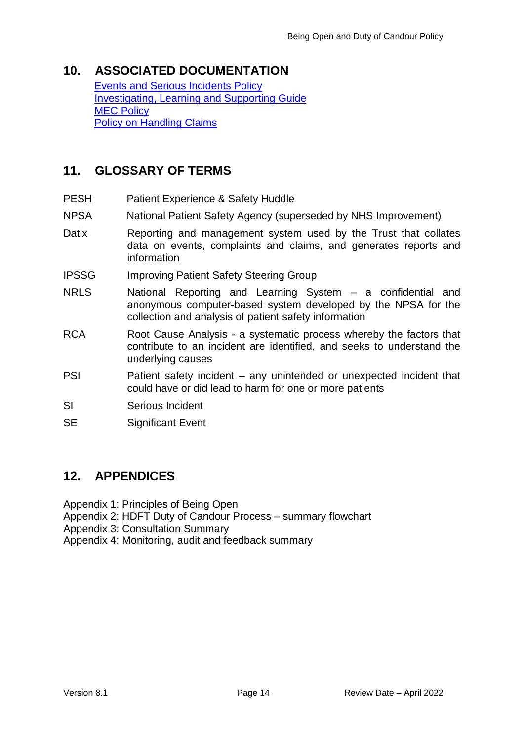## <span id="page-16-0"></span>**10. ASSOCIATED DOCUMENTATION**

[Events and Serious Incidents Policy](http://nww.hdft.nhs.uk/EasysiteWeb/getresource.axd?AssetID=66523&type=full&servicetype=Attachment) [Investigating, Learning and Supporting Guide](http://nww.hdft.nhs.uk/EasysiteWeb/getresource.axd?AssetID=5099&type=full&servicetype=Attachment) [MEC Policy](http://nww.hdft.nhs.uk/EasysiteWeb/getresource.axd?AssetID=30473&type=full&servicetype=Attachment) [Policy on Handling Claims](http://nww.hdft.nhs.uk/EasysiteWeb/getresource.axd?AssetID=2669&type=full&servicetype=Attachment)

## <span id="page-16-1"></span>**11. GLOSSARY OF TERMS**

- PESH Patient Experience & Safety Huddle
- NPSA National Patient Safety Agency (superseded by NHS Improvement)
- Datix Reporting and management system used by the Trust that collates data on events, complaints and claims, and generates reports and information
- IPSSG Improving Patient Safety Steering Group
- NRLS National Reporting and Learning System a confidential and anonymous computer-based system developed by the NPSA for the collection and analysis of patient safety information
- RCA Root Cause Analysis a systematic process whereby the factors that contribute to an incident are identified, and seeks to understand the underlying causes
- PSI Patient safety incident any unintended or unexpected incident that could have or did lead to harm for one or more patients
- SI Serious Incident
- SE Significant Event

### <span id="page-16-2"></span>**12. APPENDICES**

Appendix 1: Principles of Being Open

- Appendix 2: HDFT Duty of Candour Process summary flowchart
- Appendix 3: Consultation Summary

Appendix 4: Monitoring, audit and feedback summary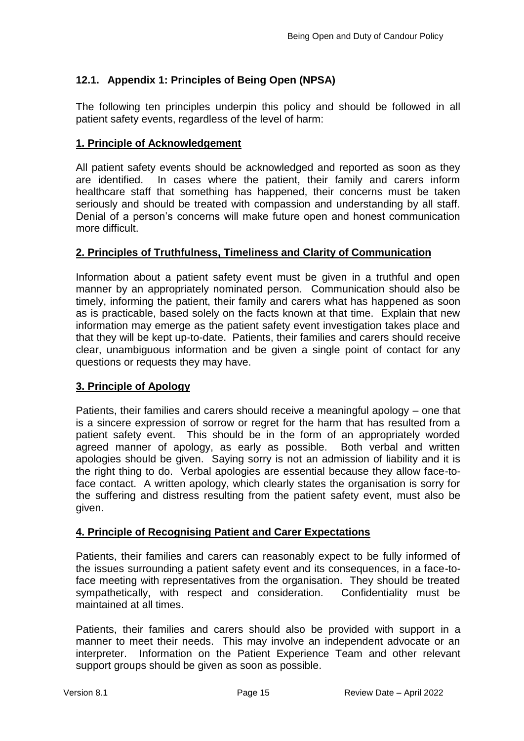### <span id="page-17-0"></span>**12.1. Appendix 1: Principles of Being Open (NPSA)**

The following ten principles underpin this policy and should be followed in all patient safety events, regardless of the level of harm:

### **1. Principle of Acknowledgement**

All patient safety events should be acknowledged and reported as soon as they are identified. In cases where the patient, their family and carers inform healthcare staff that something has happened, their concerns must be taken seriously and should be treated with compassion and understanding by all staff. Denial of a person's concerns will make future open and honest communication more difficult.

### **2. Principles of Truthfulness, Timeliness and Clarity of Communication**

Information about a patient safety event must be given in a truthful and open manner by an appropriately nominated person. Communication should also be timely, informing the patient, their family and carers what has happened as soon as is practicable, based solely on the facts known at that time. Explain that new information may emerge as the patient safety event investigation takes place and that they will be kept up-to-date. Patients, their families and carers should receive clear, unambiguous information and be given a single point of contact for any questions or requests they may have.

### **3. Principle of Apology**

Patients, their families and carers should receive a meaningful apology – one that is a sincere expression of sorrow or regret for the harm that has resulted from a patient safety event. This should be in the form of an appropriately worded agreed manner of apology, as early as possible. Both verbal and written apologies should be given. Saying sorry is not an admission of liability and it is the right thing to do. Verbal apologies are essential because they allow face-toface contact. A written apology, which clearly states the organisation is sorry for the suffering and distress resulting from the patient safety event, must also be given.

### **4. Principle of Recognising Patient and Carer Expectations**

Patients, their families and carers can reasonably expect to be fully informed of the issues surrounding a patient safety event and its consequences, in a face-toface meeting with representatives from the organisation. They should be treated sympathetically, with respect and consideration. Confidentiality must be maintained at all times.

Patients, their families and carers should also be provided with support in a manner to meet their needs. This may involve an independent advocate or an interpreter. Information on the Patient Experience Team and other relevant support groups should be given as soon as possible.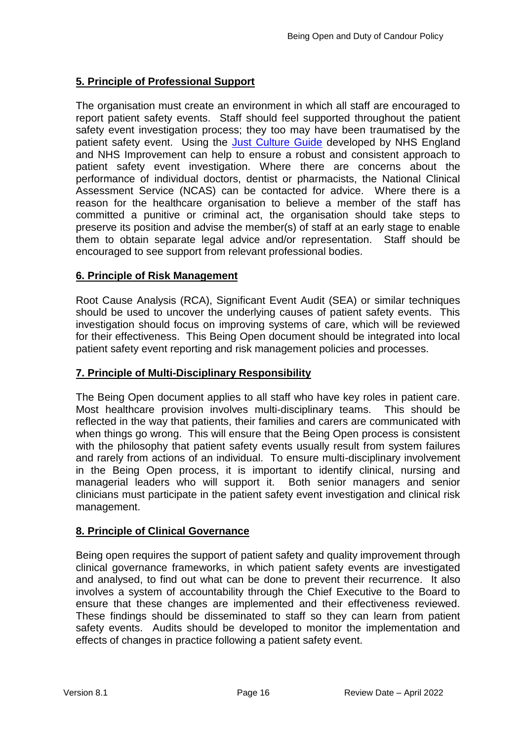### **5. Principle of Professional Support**

The organisation must create an environment in which all staff are encouraged to report patient safety events. Staff should feel supported throughout the patient safety event investigation process; they too may have been traumatised by the patient safety event. Using the [Just Culture Guide](https://improvement.nhs.uk/documents/2490/NHS_0932_JC_Poster_A3.pdf) developed by NHS England and NHS Improvement can help to ensure a robust and consistent approach to patient safety event investigation. Where there are concerns about the performance of individual doctors, dentist or pharmacists, the National Clinical Assessment Service (NCAS) can be contacted for advice. Where there is a reason for the healthcare organisation to believe a member of the staff has committed a punitive or criminal act, the organisation should take steps to preserve its position and advise the member(s) of staff at an early stage to enable them to obtain separate legal advice and/or representation. Staff should be encouraged to see support from relevant professional bodies.

### **6. Principle of Risk Management**

Root Cause Analysis (RCA), Significant Event Audit (SEA) or similar techniques should be used to uncover the underlying causes of patient safety events. This investigation should focus on improving systems of care, which will be reviewed for their effectiveness. This Being Open document should be integrated into local patient safety event reporting and risk management policies and processes.

### **7. Principle of Multi-Disciplinary Responsibility**

The Being Open document applies to all staff who have key roles in patient care. Most healthcare provision involves multi-disciplinary teams. This should be reflected in the way that patients, their families and carers are communicated with when things go wrong. This will ensure that the Being Open process is consistent with the philosophy that patient safety events usually result from system failures and rarely from actions of an individual. To ensure multi-disciplinary involvement in the Being Open process, it is important to identify clinical, nursing and managerial leaders who will support it. Both senior managers and senior clinicians must participate in the patient safety event investigation and clinical risk management.

### **8. Principle of Clinical Governance**

Being open requires the support of patient safety and quality improvement through clinical governance frameworks, in which patient safety events are investigated and analysed, to find out what can be done to prevent their recurrence. It also involves a system of accountability through the Chief Executive to the Board to ensure that these changes are implemented and their effectiveness reviewed. These findings should be disseminated to staff so they can learn from patient safety events. Audits should be developed to monitor the implementation and effects of changes in practice following a patient safety event.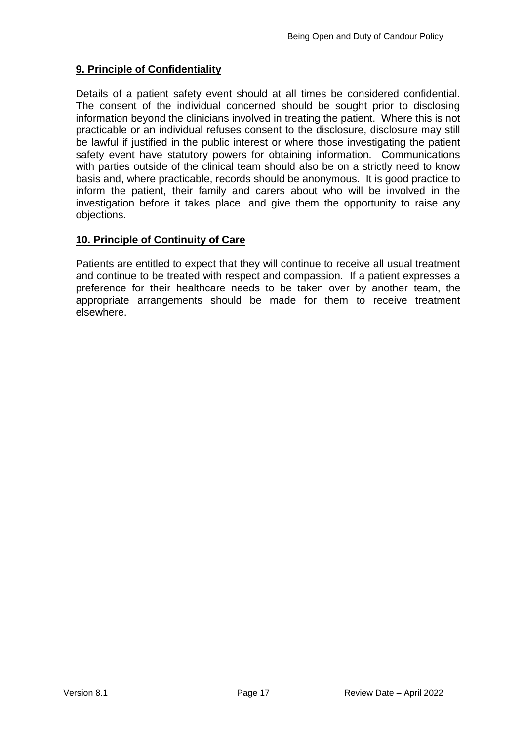### **9. Principle of Confidentiality**

Details of a patient safety event should at all times be considered confidential. The consent of the individual concerned should be sought prior to disclosing information beyond the clinicians involved in treating the patient. Where this is not practicable or an individual refuses consent to the disclosure, disclosure may still be lawful if justified in the public interest or where those investigating the patient safety event have statutory powers for obtaining information. Communications with parties outside of the clinical team should also be on a strictly need to know basis and, where practicable, records should be anonymous. It is good practice to inform the patient, their family and carers about who will be involved in the investigation before it takes place, and give them the opportunity to raise any objections.

### **10. Principle of Continuity of Care**

Patients are entitled to expect that they will continue to receive all usual treatment and continue to be treated with respect and compassion. If a patient expresses a preference for their healthcare needs to be taken over by another team, the appropriate arrangements should be made for them to receive treatment elsewhere.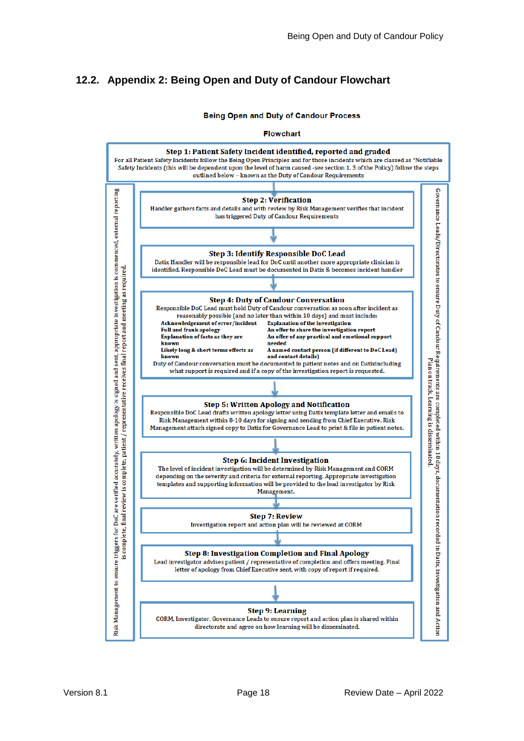### <span id="page-20-0"></span>**12.2. Appendix 2: Being Open and Duty of Candour Flowchart**

**Being Open and Duty of Candour Process** 

**Flowchart** 

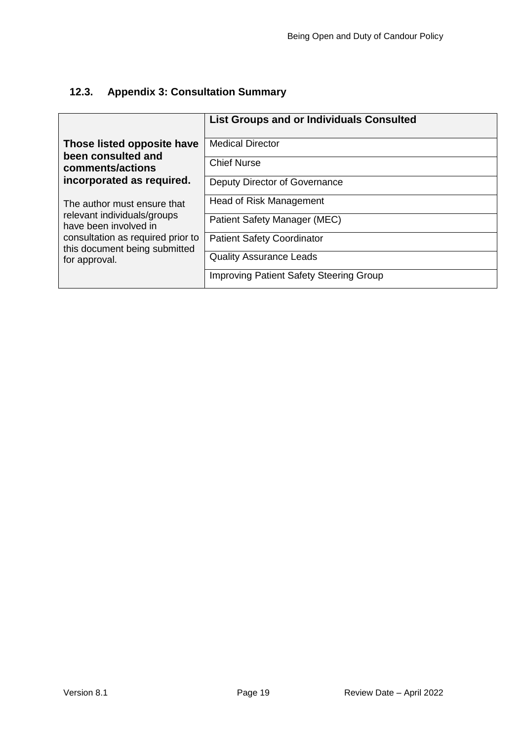## <span id="page-21-0"></span>**12.3. Appendix 3: Consultation Summary**

|                                                                    | <b>List Groups and or Individuals Consulted</b> |
|--------------------------------------------------------------------|-------------------------------------------------|
| Those listed opposite have<br>been consulted and                   | <b>Medical Director</b>                         |
| comments/actions                                                   | <b>Chief Nurse</b>                              |
| incorporated as required.                                          | Deputy Director of Governance                   |
| The author must ensure that                                        | Head of Risk Management                         |
| relevant individuals/groups<br>have been involved in               | Patient Safety Manager (MEC)                    |
| consultation as required prior to<br>this document being submitted | <b>Patient Safety Coordinator</b>               |
| for approval.                                                      | <b>Quality Assurance Leads</b>                  |
|                                                                    | <b>Improving Patient Safety Steering Group</b>  |